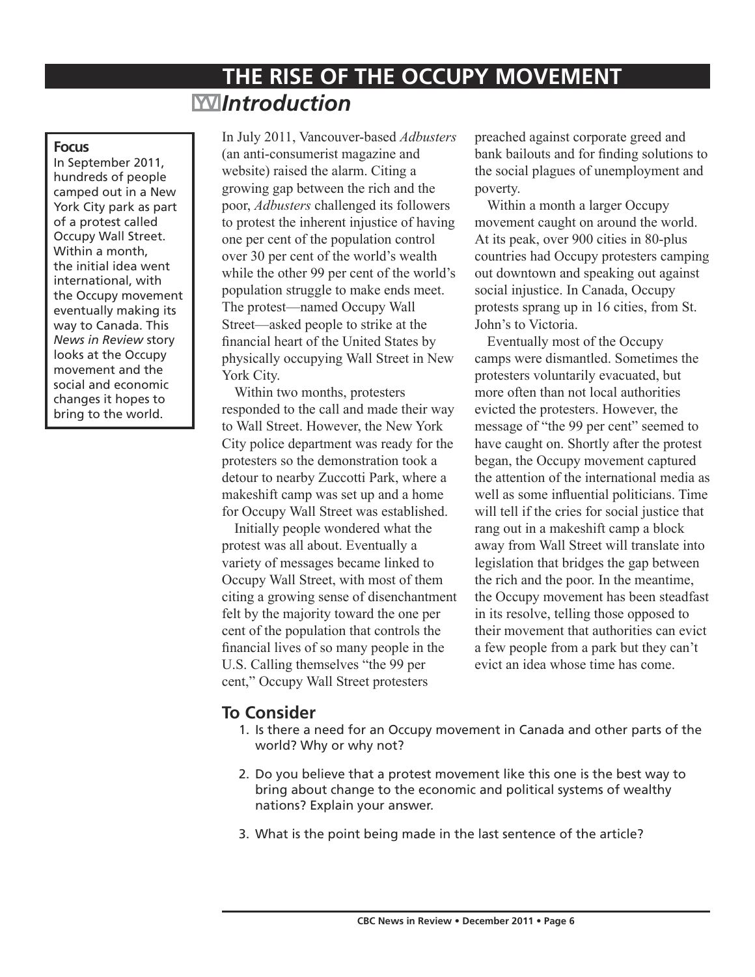# **THE RISE OF THE OCCUPY MOVEMENT** *Introduction*

#### **Focus**

In September 2011, hundreds of people camped out in a New York City park as part of a protest called Occupy Wall Street. Within a month, the initial idea went international, with the Occupy movement eventually making its way to Canada. This *News in Review* story looks at the Occupy movement and the social and economic changes it hopes to bring to the world.

In July 2011, Vancouver-based *Adbusters* (an anti-consumerist magazine and website) raised the alarm. Citing a growing gap between the rich and the poor, *Adbusters* challenged its followers to protest the inherent injustice of having one per cent of the population control over 30 per cent of the world's wealth while the other 99 per cent of the world's population struggle to make ends meet. The protest—named Occupy Wall Street—asked people to strike at the financial heart of the United States by physically occupying Wall Street in New York City.

Within two months, protesters responded to the call and made their way to Wall Street. However, the New York City police department was ready for the protesters so the demonstration took a detour to nearby Zuccotti Park, where a makeshift camp was set up and a home for Occupy Wall Street was established.

Initially people wondered what the protest was all about. Eventually a variety of messages became linked to Occupy Wall Street, with most of them citing a growing sense of disenchantment felt by the majority toward the one per cent of the population that controls the financial lives of so many people in the U.S. Calling themselves "the 99 per cent," Occupy Wall Street protesters

preached against corporate greed and bank bailouts and for finding solutions to the social plagues of unemployment and poverty.

Within a month a larger Occupy movement caught on around the world. At its peak, over 900 cities in 80-plus countries had Occupy protesters camping out downtown and speaking out against social injustice. In Canada, Occupy protests sprang up in 16 cities, from St. John's to Victoria.

Eventually most of the Occupy camps were dismantled. Sometimes the protesters voluntarily evacuated, but more often than not local authorities evicted the protesters. However, the message of "the 99 per cent" seemed to have caught on. Shortly after the protest began, the Occupy movement captured the attention of the international media as well as some influential politicians. Time will tell if the cries for social justice that rang out in a makeshift camp a block away from Wall Street will translate into legislation that bridges the gap between the rich and the poor. In the meantime, the Occupy movement has been steadfast in its resolve, telling those opposed to their movement that authorities can evict a few people from a park but they can't evict an idea whose time has come.

# **To Consider**

- 1. Is there a need for an Occupy movement in Canada and other parts of the world? Why or why not?
- 2. Do you believe that a protest movement like this one is the best way to bring about change to the economic and political systems of wealthy nations? Explain your answer.
- 3. What is the point being made in the last sentence of the article?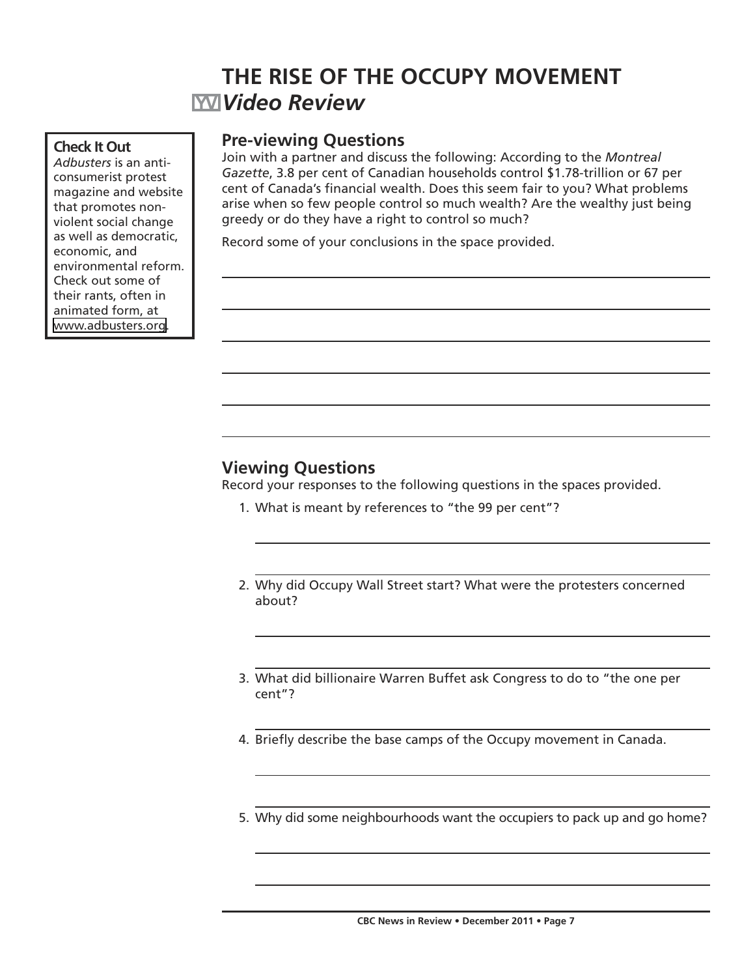# **THE RISE OF THE OCCUPY MOVEMENT** *Video Review*

#### **Check It Out**

*Adbusters* is an anticonsumerist protest magazine and website that promotes nonviolent social change as well as democratic, economic, and environmental reform. Check out some of their rants, often in animated form, at [www.adbusters.org.](http://www.adbusters.org)

### **Pre-viewing Questions**

Join with a partner and discuss the following: According to the *Montreal Gazette*, 3.8 per cent of Canadian households control \$1.78-trillion or 67 per cent of Canada's financial wealth. Does this seem fair to you? What problems arise when so few people control so much wealth? Are the wealthy just being greedy or do they have a right to control so much?

Record some of your conclusions in the space provided.

## **Viewing Questions**

Record your responses to the following questions in the spaces provided.

- 1. What is meant by references to "the 99 per cent"?
- 2. Why did Occupy Wall Street start? What were the protesters concerned about?
- 3. What did billionaire Warren Buffet ask Congress to do to "the one per cent"?
- 4. Briefly describe the base camps of the Occupy movement in Canada.
- 5. Why did some neighbourhoods want the occupiers to pack up and go home?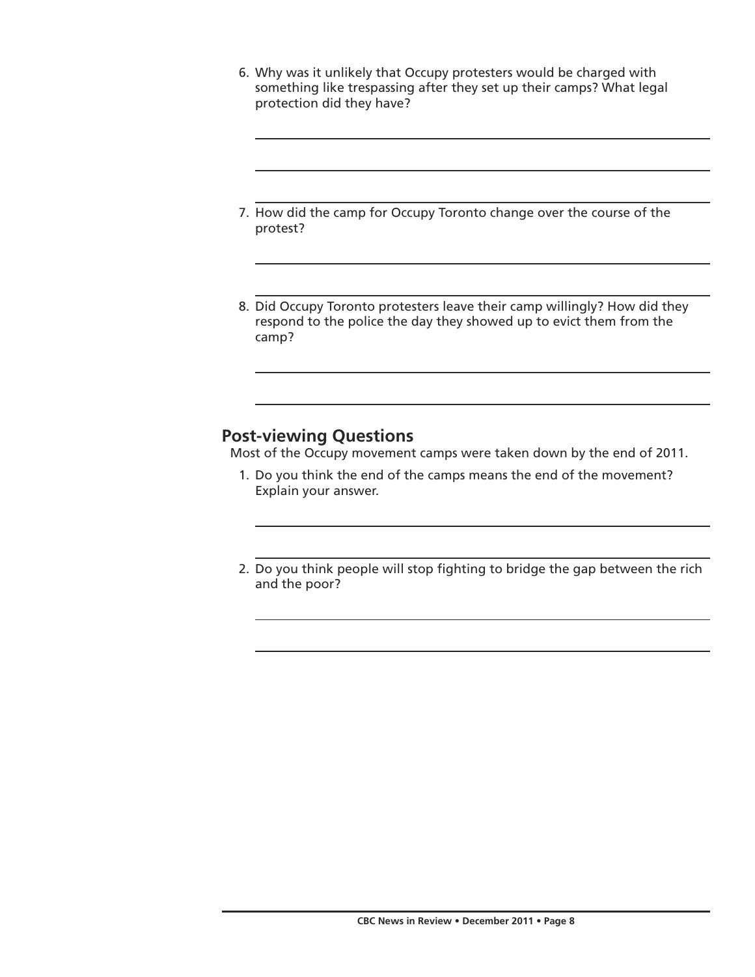- 6. Why was it unlikely that Occupy protesters would be charged with something like trespassing after they set up their camps? What legal protection did they have?
- 7. How did the camp for Occupy Toronto change over the course of the protest?
- 8. Did Occupy Toronto protesters leave their camp willingly? How did they respond to the police the day they showed up to evict them from the camp?

# **Post-viewing Questions**

Most of the Occupy movement camps were taken down by the end of 2011.

- 1. Do you think the end of the camps means the end of the movement? Explain your answer.
- 2. Do you think people will stop fighting to bridge the gap between the rich and the poor?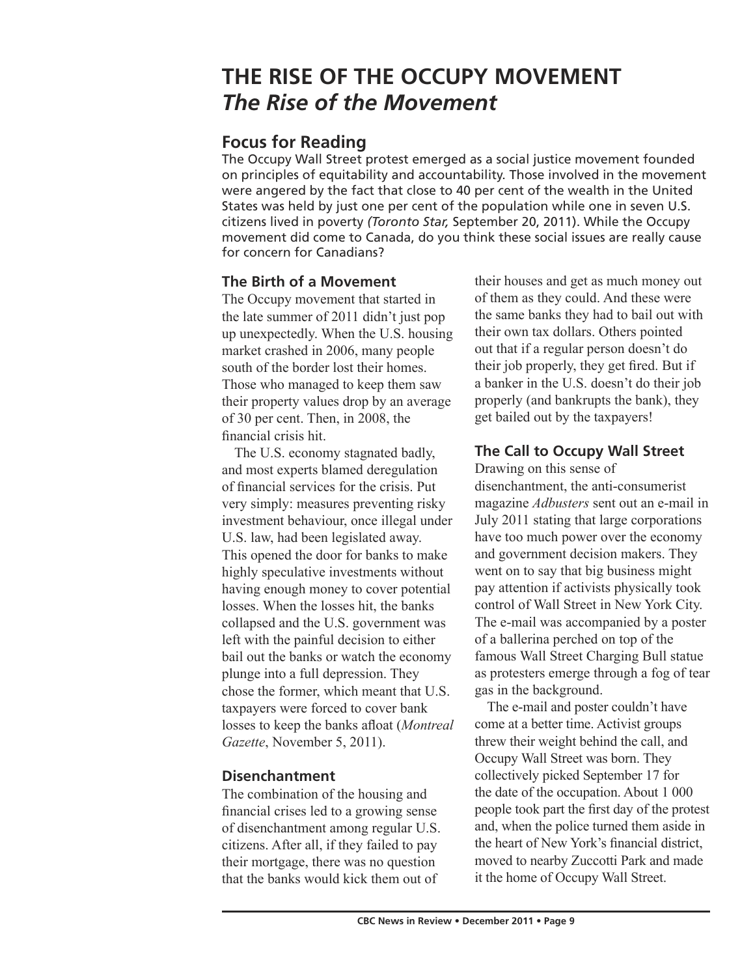# **THE RISE OF THE OCCUPY MOVEMENT** *The Rise of the Movement*

# **Focus for Reading**

The Occupy Wall Street protest emerged as a social justice movement founded on principles of equitability and accountability. Those involved in the movement were angered by the fact that close to 40 per cent of the wealth in the United States was held by just one per cent of the population while one in seven U.S. citizens lived in poverty *(Toronto Star,* September 20, 2011). While the Occupy movement did come to Canada, do you think these social issues are really cause for concern for Canadians?

### **The Birth of a Movement**

The Occupy movement that started in the late summer of 2011 didn't just pop up unexpectedly. When the U.S. housing market crashed in 2006, many people south of the border lost their homes. Those who managed to keep them saw their property values drop by an average of 30 per cent. Then, in 2008, the financial crisis hit.

The U.S. economy stagnated badly, and most experts blamed deregulation of financial services for the crisis. Put very simply: measures preventing risky investment behaviour, once illegal under U.S. law, had been legislated away. This opened the door for banks to make highly speculative investments without having enough money to cover potential losses. When the losses hit, the banks collapsed and the U.S. government was left with the painful decision to either bail out the banks or watch the economy plunge into a full depression. They chose the former, which meant that U.S. taxpayers were forced to cover bank losses to keep the banks afloat (*Montreal Gazette*, November 5, 2011).

## **Disenchantment**

The combination of the housing and financial crises led to a growing sense of disenchantment among regular U.S. citizens. After all, if they failed to pay their mortgage, there was no question that the banks would kick them out of

their houses and get as much money out of them as they could. And these were the same banks they had to bail out with their own tax dollars. Others pointed out that if a regular person doesn't do their job properly, they get fired. But if a banker in the U.S. doesn't do their job properly (and bankrupts the bank), they get bailed out by the taxpayers!

### **The Call to Occupy Wall Street**

Drawing on this sense of disenchantment, the anti-consumerist magazine *Adbusters* sent out an e-mail in July 2011 stating that large corporations have too much power over the economy and government decision makers. They went on to say that big business might pay attention if activists physically took control of Wall Street in New York City. The e-mail was accompanied by a poster of a ballerina perched on top of the famous Wall Street Charging Bull statue as protesters emerge through a fog of tear gas in the background.

The e-mail and poster couldn't have come at a better time. Activist groups threw their weight behind the call, and Occupy Wall Street was born. They collectively picked September 17 for the date of the occupation. About 1 000 people took part the first day of the protest and, when the police turned them aside in the heart of New York's financial district, moved to nearby Zuccotti Park and made it the home of Occupy Wall Street.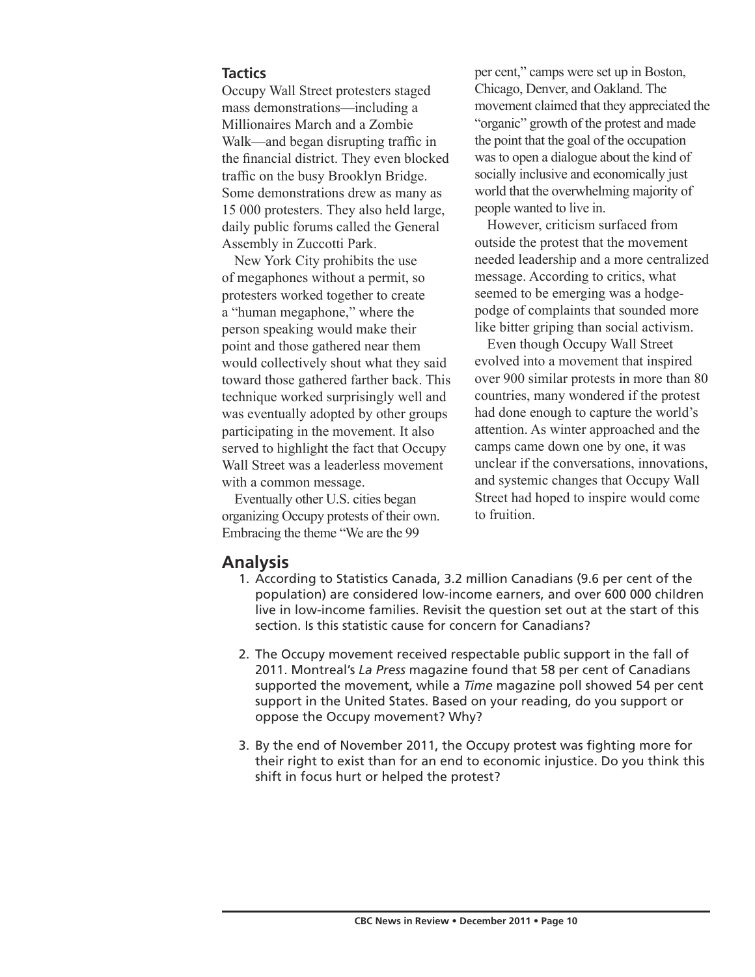#### **Tactics**

Occupy Wall Street protesters staged mass demonstrations—including a Millionaires March and a Zombie Walk—and began disrupting traffic in the financial district. They even blocked traffic on the busy Brooklyn Bridge. Some demonstrations drew as many as 15 000 protesters. They also held large, daily public forums called the General Assembly in Zuccotti Park.

New York City prohibits the use of megaphones without a permit, so protesters worked together to create a "human megaphone," where the person speaking would make their point and those gathered near them would collectively shout what they said toward those gathered farther back. This technique worked surprisingly well and was eventually adopted by other groups participating in the movement. It also served to highlight the fact that Occupy Wall Street was a leaderless movement with a common message.

Eventually other U.S. cities began organizing Occupy protests of their own. Embracing the theme "We are the 99

per cent," camps were set up in Boston, Chicago, Denver, and Oakland. The movement claimed that they appreciated the "organic" growth of the protest and made the point that the goal of the occupation was to open a dialogue about the kind of socially inclusive and economically just world that the overwhelming majority of people wanted to live in.

However, criticism surfaced from outside the protest that the movement needed leadership and a more centralized message. According to critics, what seemed to be emerging was a hodgepodge of complaints that sounded more like bitter griping than social activism.

Even though Occupy Wall Street evolved into a movement that inspired over 900 similar protests in more than 80 countries, many wondered if the protest had done enough to capture the world's attention. As winter approached and the camps came down one by one, it was unclear if the conversations, innovations, and systemic changes that Occupy Wall Street had hoped to inspire would come to fruition.

### **Analysis**

- 1. According to Statistics Canada, 3.2 million Canadians (9.6 per cent of the population) are considered low-income earners, and over 600 000 children live in low-income families. Revisit the question set out at the start of this section. Is this statistic cause for concern for Canadians?
- 2. The Occupy movement received respectable public support in the fall of 2011. Montreal's *La Press* magazine found that 58 per cent of Canadians supported the movement, while a *Time* magazine poll showed 54 per cent support in the United States. Based on your reading, do you support or oppose the Occupy movement? Why?
- 3. By the end of November 2011, the Occupy protest was fighting more for their right to exist than for an end to economic injustice. Do you think this shift in focus hurt or helped the protest?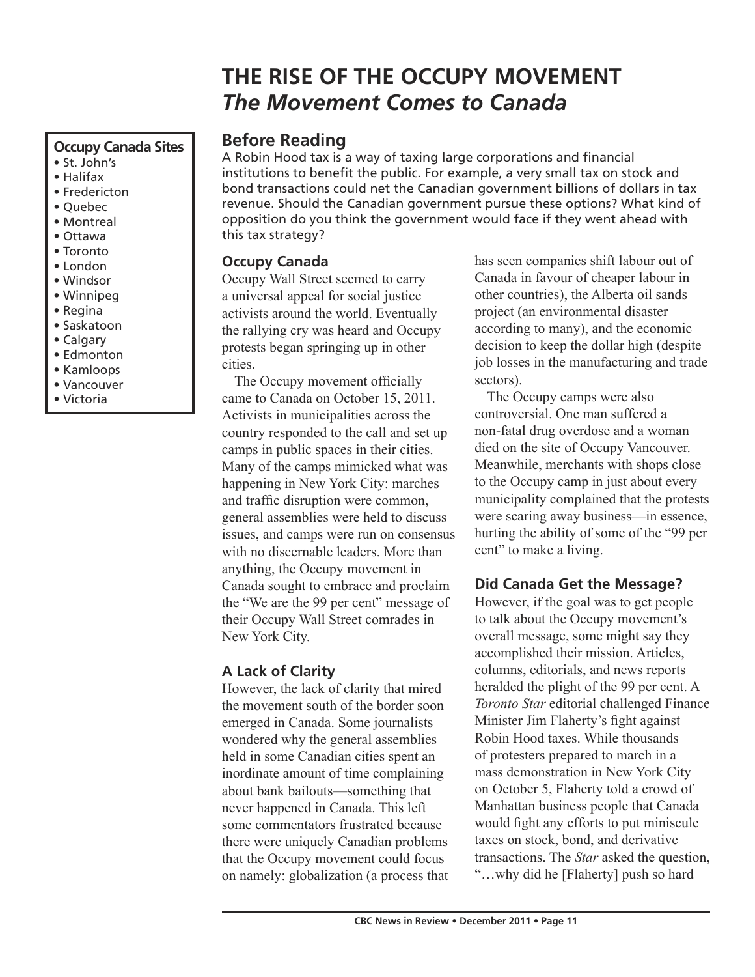# **THE RISE OF THE OCCUPY MOVEMENT** *The Movement Comes to Canada*

#### **Occupy Canada Sites**

- St. John's
- Halifax
- Fredericton
- Quebec
- Montreal
- Ottawa
- Toronto
- London
- Windsor
- Winnipeg
- Regina
- Saskatoon
- Calgary
- Edmonton
- Kamloops • Vancouver
- Victoria

## **Before Reading**

A Robin Hood tax is a way of taxing large corporations and financial institutions to benefit the public. For example, a very small tax on stock and bond transactions could net the Canadian government billions of dollars in tax revenue. Should the Canadian government pursue these options? What kind of opposition do you think the government would face if they went ahead with this tax strategy?

## **Occupy Canada**

Occupy Wall Street seemed to carry a universal appeal for social justice activists around the world. Eventually the rallying cry was heard and Occupy protests began springing up in other cities.

The Occupy movement officially came to Canada on October 15, 2011. Activists in municipalities across the country responded to the call and set up camps in public spaces in their cities. Many of the camps mimicked what was happening in New York City: marches and traffic disruption were common, general assemblies were held to discuss issues, and camps were run on consensus with no discernable leaders. More than anything, the Occupy movement in Canada sought to embrace and proclaim the "We are the 99 per cent" message of their Occupy Wall Street comrades in New York City.

# **A Lack of Clarity**

However, the lack of clarity that mired the movement south of the border soon emerged in Canada. Some journalists wondered why the general assemblies held in some Canadian cities spent an inordinate amount of time complaining about bank bailouts—something that never happened in Canada. This left some commentators frustrated because there were uniquely Canadian problems that the Occupy movement could focus on namely: globalization (a process that

has seen companies shift labour out of Canada in favour of cheaper labour in other countries), the Alberta oil sands project (an environmental disaster according to many), and the economic decision to keep the dollar high (despite job losses in the manufacturing and trade sectors).

The Occupy camps were also controversial. One man suffered a non-fatal drug overdose and a woman died on the site of Occupy Vancouver. Meanwhile, merchants with shops close to the Occupy camp in just about every municipality complained that the protests were scaring away business—in essence, hurting the ability of some of the "99 per cent" to make a living.

## **Did Canada Get the Message?**

However, if the goal was to get people to talk about the Occupy movement's overall message, some might say they accomplished their mission. Articles, columns, editorials, and news reports heralded the plight of the 99 per cent. A *Toronto Star* editorial challenged Finance Minister Jim Flaherty's fight against Robin Hood taxes. While thousands of protesters prepared to march in a mass demonstration in New York City on October 5, Flaherty told a crowd of Manhattan business people that Canada would fight any efforts to put miniscule taxes on stock, bond, and derivative transactions. The *Star* asked the question, "…why did he [Flaherty] push so hard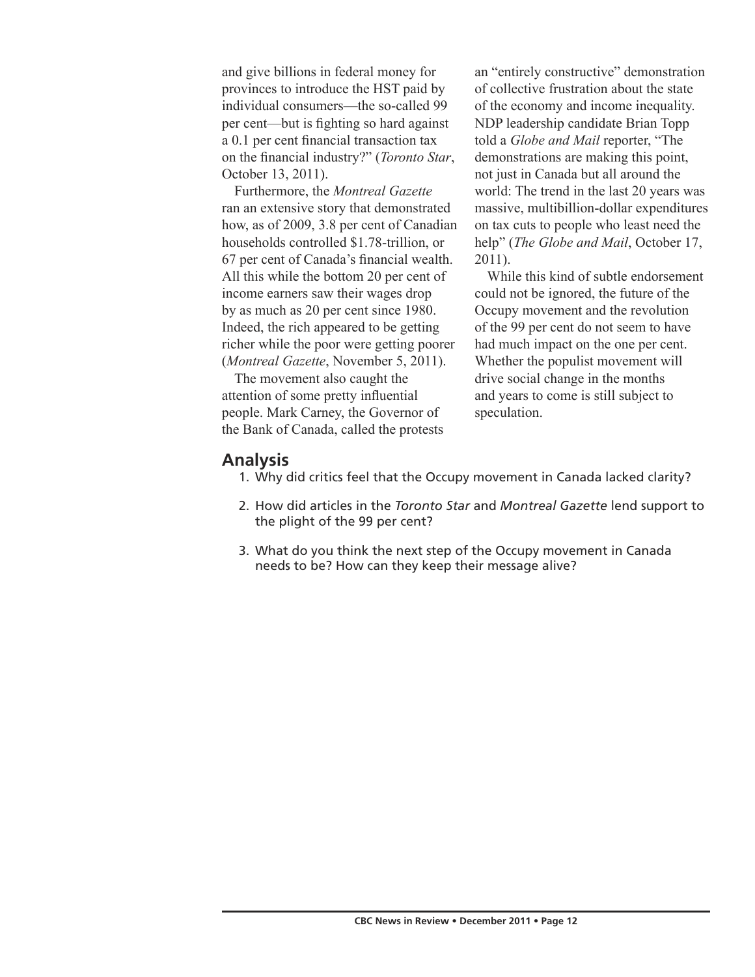and give billions in federal money for provinces to introduce the HST paid by individual consumers—the so-called 99 per cent—but is fighting so hard against a 0.1 per cent financial transaction tax on the financial industry?" (*Toronto Star*, October 13, 2011).

Furthermore, the *Montreal Gazette* ran an extensive story that demonstrated how, as of 2009, 3.8 per cent of Canadian households controlled \$1.78-trillion, or 67 per cent of Canada's financial wealth. All this while the bottom 20 per cent of income earners saw their wages drop by as much as 20 per cent since 1980. Indeed, the rich appeared to be getting richer while the poor were getting poorer (*Montreal Gazette*, November 5, 2011).

The movement also caught the attention of some pretty influential people. Mark Carney, the Governor of the Bank of Canada, called the protests

an "entirely constructive" demonstration of collective frustration about the state of the economy and income inequality. NDP leadership candidate Brian Topp told a *Globe and Mail* reporter, "The demonstrations are making this point, not just in Canada but all around the world: The trend in the last 20 years was massive, multibillion-dollar expenditures on tax cuts to people who least need the help" (*The Globe and Mail*, October 17, 2011).

While this kind of subtle endorsement could not be ignored, the future of the Occupy movement and the revolution of the 99 per cent do not seem to have had much impact on the one per cent. Whether the populist movement will drive social change in the months and years to come is still subject to speculation.

#### **Analysis**

- 1. Why did critics feel that the Occupy movement in Canada lacked clarity?
- 2. How did articles in the *Toronto Star* and *Montreal Gazette* lend support to the plight of the 99 per cent?
- 3. What do you think the next step of the Occupy movement in Canada needs to be? How can they keep their message alive?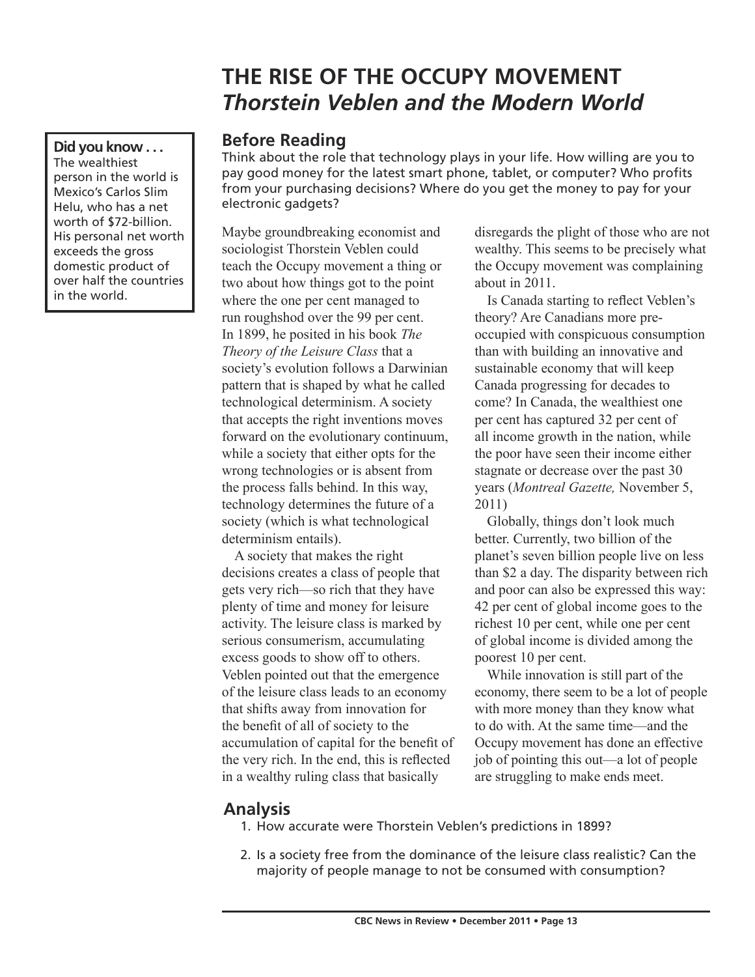# **THE RISE OF THE OCCUPY MOVEMENT** *Thorstein Veblen and the Modern World*

## **Before Reading**

Think about the role that technology plays in your life. How willing are you to pay good money for the latest smart phone, tablet, or computer? Who profits from your purchasing decisions? Where do you get the money to pay for your electronic gadgets?

Maybe groundbreaking economist and sociologist Thorstein Veblen could teach the Occupy movement a thing or two about how things got to the point where the one per cent managed to run roughshod over the 99 per cent. In 1899, he posited in his book *The Theory of the Leisure Class* that a society's evolution follows a Darwinian pattern that is shaped by what he called technological determinism. A society that accepts the right inventions moves forward on the evolutionary continuum, while a society that either opts for the wrong technologies or is absent from the process falls behind. In this way, technology determines the future of a society (which is what technological determinism entails).

A society that makes the right decisions creates a class of people that gets very rich—so rich that they have plenty of time and money for leisure activity. The leisure class is marked by serious consumerism, accumulating excess goods to show off to others. Veblen pointed out that the emergence of the leisure class leads to an economy that shifts away from innovation for the benefit of all of society to the accumulation of capital for the benefit of the very rich. In the end, this is reflected in a wealthy ruling class that basically

disregards the plight of those who are not wealthy. This seems to be precisely what the Occupy movement was complaining about in 2011.

Is Canada starting to reflect Veblen's theory? Are Canadians more preoccupied with conspicuous consumption than with building an innovative and sustainable economy that will keep Canada progressing for decades to come? In Canada, the wealthiest one per cent has captured 32 per cent of all income growth in the nation, while the poor have seen their income either stagnate or decrease over the past 30 years (*Montreal Gazette,* November 5, 2011)

Globally, things don't look much better. Currently, two billion of the planet's seven billion people live on less than \$2 a day. The disparity between rich and poor can also be expressed this way: 42 per cent of global income goes to the richest 10 per cent, while one per cent of global income is divided among the poorest 10 per cent.

While innovation is still part of the economy, there seem to be a lot of people with more money than they know what to do with. At the same time—and the Occupy movement has done an effective job of pointing this out—a lot of people are struggling to make ends meet.

# **Analysis**

- 1. How accurate were Thorstein Veblen's predictions in 1899?
- 2. Is a society free from the dominance of the leisure class realistic? Can the majority of people manage to not be consumed with consumption?

**Did you know . . .** The wealthiest person in the world is Mexico's Carlos Slim Helu, who has a net worth of \$72-billion. His personal net worth exceeds the gross domestic product of over half the countries in the world.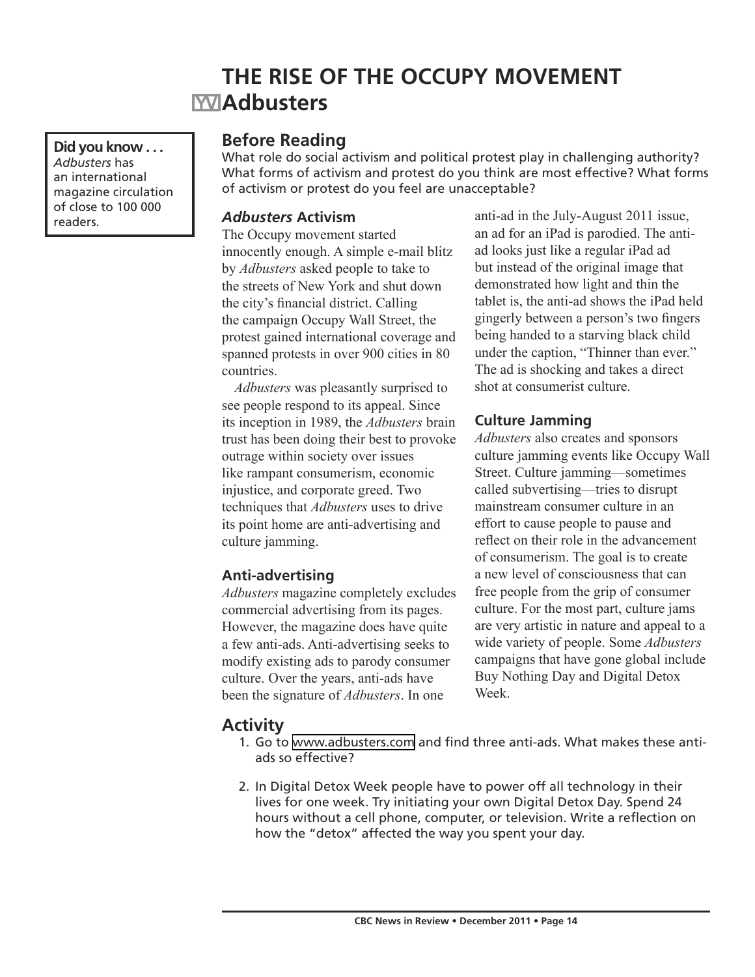# **THE RISE OF THE OCCUPY MOVEMENT MAdbusters**

**Did you know . . .** *Adbusters* has an international magazine circulation of close to 100 000

## **Before Reading**

What role do social activism and political protest play in challenging authority? What forms of activism and protest do you think are most effective? What forms of activism or protest do you feel are unacceptable?

#### *Adbusters* **Activism**

The Occupy movement started innocently enough. A simple e-mail blitz by *Adbusters* asked people to take to the streets of New York and shut down the city's financial district. Calling the campaign Occupy Wall Street, the protest gained international coverage and spanned protests in over 900 cities in 80 countries.

*Adbusters* was pleasantly surprised to see people respond to its appeal. Since its inception in 1989, the *Adbusters* brain trust has been doing their best to provoke outrage within society over issues like rampant consumerism, economic injustice, and corporate greed. Two techniques that *Adbusters* uses to drive its point home are anti-advertising and culture jamming.

### **Anti-advertising**

*Adbusters* magazine completely excludes commercial advertising from its pages. However, the magazine does have quite a few anti-ads. Anti-advertising seeks to modify existing ads to parody consumer culture. Over the years, anti-ads have been the signature of *Adbusters*. In one

readers  $\blacksquare$  Adbusters Activism anti-ad in the July-August 2011 issue, an ad for an iPad is parodied. The antiad looks just like a regular iPad ad but instead of the original image that demonstrated how light and thin the tablet is, the anti-ad shows the iPad held gingerly between a person's two fingers being handed to a starving black child under the caption, "Thinner than ever." The ad is shocking and takes a direct shot at consumerist culture.

#### **Culture Jamming**

*Adbusters* also creates and sponsors culture jamming events like Occupy Wall Street. Culture jamming—sometimes called subvertising—tries to disrupt mainstream consumer culture in an effort to cause people to pause and reflect on their role in the advancement of consumerism. The goal is to create a new level of consciousness that can free people from the grip of consumer culture. For the most part, culture jams are very artistic in nature and appeal to a wide variety of people. Some *Adbusters* campaigns that have gone global include Buy Nothing Day and Digital Detox Week.

## **Activity**

- 1. Go to [www.adbusters.com](http://www.adbusters.com) and find three anti-ads. What makes these antiads so effective?
- 2. In Digital Detox Week people have to power off all technology in their lives for one week. Try initiating your own Digital Detox Day. Spend 24 hours without a cell phone, computer, or television. Write a reflection on how the "detox" affected the way you spent your day.